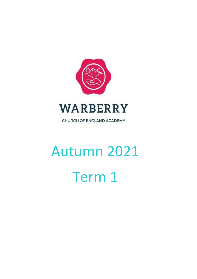

CHURCH OF ENGLAND ACADEMY

# Autumn 2021 Term 1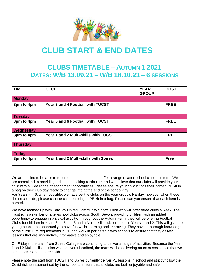

## **CLUB START & END DATES**

### **CLUBS TIMETABLE – AUTUMN 1 2021 DATES: W/B 13.09.21 – W/B 18.10.21 – 6 SESSIONS**

| <b>TIME</b>     | <b>CLUB</b>                           | <b>YEAR</b><br><b>GROUP</b> | <b>COST</b> |
|-----------------|---------------------------------------|-----------------------------|-------------|
| <b>Monday</b>   |                                       |                             |             |
| 3pm to 4pm      | Year 3 and 4 Football with TUCST      |                             | <b>FREE</b> |
| <b>Tuesday</b>  |                                       |                             |             |
| 3pm to 4pm      | Year 5 and 6 Football with TUCST      |                             | <b>FREE</b> |
| Wednesday       |                                       |                             |             |
| 3pm to 4pm      | Year 1 and 2 Multi-skills with TUCST  |                             | <b>FREE</b> |
| <b>Thursday</b> |                                       |                             |             |
|                 |                                       |                             |             |
| <b>Friday</b>   |                                       |                             |             |
| 3pm to 4pm      | Year 1 and 2 Multi-skills with Spires |                             | <b>Free</b> |

We are thrilled to be able to resume our commitment to offer a range of after school clubs this term. We are committed to providing a rich and exciting curriculum and we believe that our clubs will provide your child with a wide range of enrichment opportunities. Please ensure your child brings their named PE kit in a bag on their club day ready to change into at the end of the school day.

For Years 4 – 6, when possible, we have set the clubs on the year group's PE day, however when these do not coincide, please can the children bring in PE kit in a bag. Please can you ensure that each item is named.

We have teamed up with Torquay United Community Sports Trust who will offer three clubs a week. The Trust runs a number of after-school clubs across South Devon, providing children with an added opportunity to engage in physical activity. Throughout the Autumn term, they will be offering Football Clubs for children in Years 3, 4, 5 and 6 and a Multi-skills club for those in Years 1 and 2. This will give the young people the opportunity to have fun whilst learning and improving. They have a thorough knowledge of the curriculum requirements in PE and work in partnership with schools to ensure that they deliver lessons that are imaginative, informative and enjoyable.

On Fridays, the team from Spires College are continuing to deliver a range of activities. Because the Year 1 and 2 Multi-skills session was so oversubscribed, the team will be delivering an extra session so that we can accommodate more children.

Please note the staff from TUCST and Spires currently deliver PE lessons in school and strictly follow the Covid risk assessment set by the school to ensure that all clubs are both enjoyable and safe.